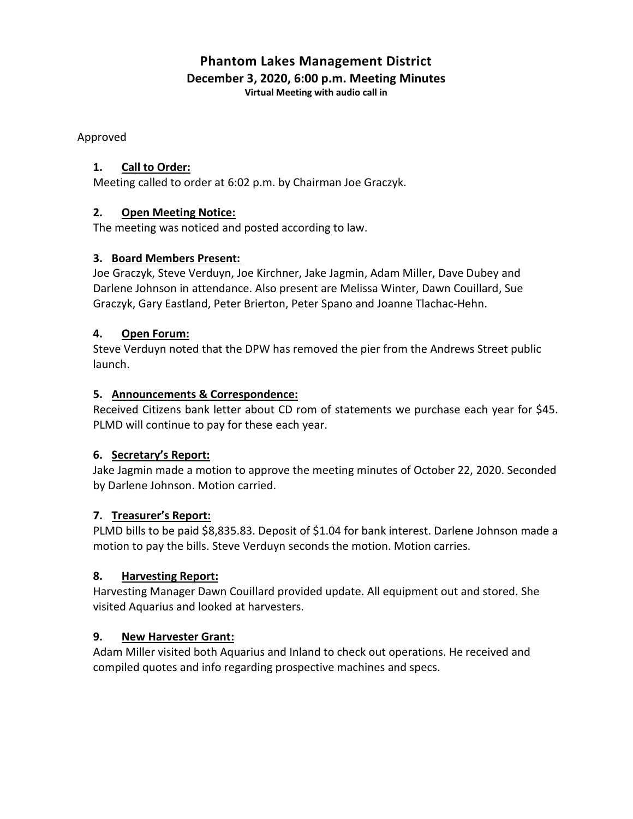# **Phantom Lakes Management District December 3, 2020, 6:00 p.m. Meeting Minutes**

**Virtual Meeting with audio call in**

Approved

# **1. Call to Order:**

Meeting called to order at 6:02 p.m. by Chairman Joe Graczyk.

# **2. Open Meeting Notice:**

The meeting was noticed and posted according to law.

# **3. Board Members Present:**

Joe Graczyk, Steve Verduyn, Joe Kirchner, Jake Jagmin, Adam Miller, Dave Dubey and Darlene Johnson in attendance. Also present are Melissa Winter, Dawn Couillard, Sue Graczyk, Gary Eastland, Peter Brierton, Peter Spano and Joanne Tlachac-Hehn.

# **4. Open Forum:**

Steve Verduyn noted that the DPW has removed the pier from the Andrews Street public launch.

# **5. Announcements & Correspondence:**

Received Citizens bank letter about CD rom of statements we purchase each year for \$45. PLMD will continue to pay for these each year.

# **6. Secretary's Report:**

Jake Jagmin made a motion to approve the meeting minutes of October 22, 2020. Seconded by Darlene Johnson. Motion carried.

# **7. Treasurer's Report:**

PLMD bills to be paid \$8,835.83. Deposit of \$1.04 for bank interest. Darlene Johnson made a motion to pay the bills. Steve Verduyn seconds the motion. Motion carries.

#### **8. Harvesting Report:**

Harvesting Manager Dawn Couillard provided update. All equipment out and stored. She visited Aquarius and looked at harvesters.

#### **9. New Harvester Grant:**

Adam Miller visited both Aquarius and Inland to check out operations. He received and compiled quotes and info regarding prospective machines and specs.